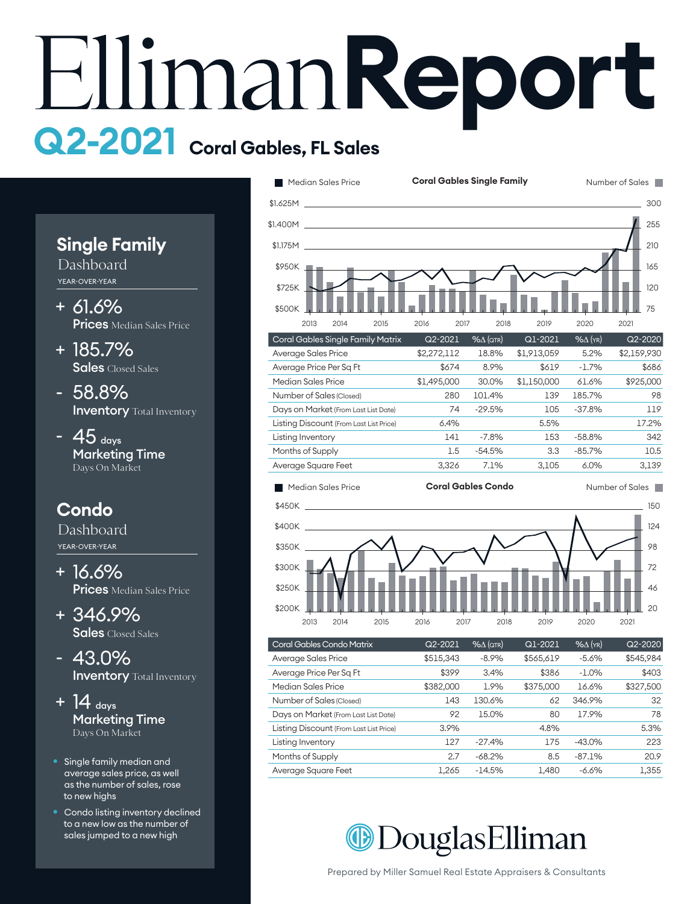## **Report Q2-2021 Coral Gables, FL Sales**

**Single Family** Dashboard

YEAR-OVER-YEAR

- 61.6% + **Prices** Median Sales Price
- 185.7% + Sales Closed Sales
- 58.8% **Inventory** Total Inventory
- $-45$  days Marketing Time Days On Market

## **Condo**

Dashboard YEAR-OVER-YEAR

- 16.6% + **Prices** Median Sales Price
- 346.9% + Sales Closed Sales
- 43.0% **Inventory** Total Inventory
- + 14  $_{\text{days}}$ Marketing Time Days On Market
- Single family median and average sales price, as well as the number of sales, rose to new highs
- Condo listing inventory declined to a new low as the number of sales jumped to a new high



| Median Sales Price                      |         | <b>Coral Gables Condo</b> |       |          | Number of Sales |
|-----------------------------------------|---------|---------------------------|-------|----------|-----------------|
| Average Square Feet                     | 3.326   | 7.1%                      | 3.105 | $6.0\%$  | 3.139           |
| Months of Supply                        | $1.5\,$ | $-54.5%$                  | 3.3   | $-85.7%$ | 10.5            |
| Listing Inventory                       | 141     | $-7.8%$                   | 153   | $-58.8%$ | 342             |
| Listing Discount (From Last List Price) | 6.4%    |                           | 5.5%  |          | 17.2%           |
| Days on Market (From Last List Date)    | 74      | $-29.5%$                  | 105   | $-37.8%$ | 119             |
| Number of Sales (Closed)                | 280     | 101.4%                    | 139   | 185.7%   | 98              |



| Coral Gables Condo Matrix               | Q2-2021   | $% \triangle (QTR)$ | Q1-2021   | $%$ $\Delta$ (YR) | Q2-2020   |
|-----------------------------------------|-----------|---------------------|-----------|-------------------|-----------|
| Average Sales Price                     | \$515,343 | $-8.9%$             | \$565,619 | $-5.6%$           | \$545,984 |
| Average Price Per Sq Ft                 | \$399     | 3.4%                | \$386     | $-1.0%$           | \$403     |
| Median Sales Price                      | \$382,000 | 1.9%                | \$375,000 | 16.6%             | \$327,500 |
| Number of Sales (Closed)                | 143       | 130.6%              | 62        | 346.9%            | 32        |
| Days on Market (From Last List Date)    | 92        | 15.0%               | 80        | 17.9%             | 78        |
| Listing Discount (From Last List Price) | 3.9%      |                     | 4.8%      |                   | 5.3%      |
| Listing Inventory                       | 127       | $-27.4%$            | 175       | $-43.0%$          | 223       |
| Months of Supply                        | 2.7       | $-68.2%$            | 8.5       | $-87.1%$          | 20.9      |
| Average Square Feet                     | 1.265     | $-14.5%$            | 1,480     | $-6.6%$           | 1,355     |
|                                         |           |                     |           |                   |           |